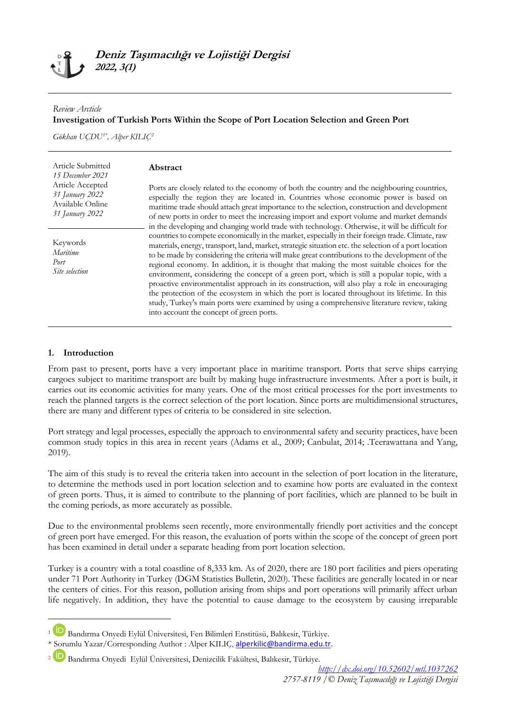### *Review Arcticle* **Investigation of Turkish Ports Within the Scope of Port Location Selection and Green Port**

*Gökhan UÇDU1\* , Alper KILIÇ<sup>2</sup>*

| Article Submitted<br>15 December 2021<br>Article Accepted<br>31 January 2022<br>Available Online<br>31 January 2022 | Abstract<br>Ports are closely related to the economy of both the country and the neighbouring countries,<br>especially the region they are located in. Countries whose economic power is based on<br>maritime trade should attach great importance to the selection, construction and development<br>of new ports in order to meet the increasing import and export volume and market demands<br>in the developing and changing world trade with technology. Otherwise, it will be difficult for<br>countries to compete economically in the market, especially in their foreign trade. Climate, raw<br>materials, energy, transport, land, market, strategic situation etc. the selection of a port location<br>to be made by considering the criteria will make great contributions to the development of the<br>regional economy. In addition, it is thought that making the most suitable choices for the<br>environment, considering the concept of a green port, which is still a popular topic, with a<br>proactive environmentalist approach in its construction, will also play a role in encouraging<br>the protection of the ecosystem in which the port is located throughout its lifetime. In this<br>study, Turkey's main ports were examined by using a comprehensive literature review, taking<br>into account the concept of green ports. |
|---------------------------------------------------------------------------------------------------------------------|------------------------------------------------------------------------------------------------------------------------------------------------------------------------------------------------------------------------------------------------------------------------------------------------------------------------------------------------------------------------------------------------------------------------------------------------------------------------------------------------------------------------------------------------------------------------------------------------------------------------------------------------------------------------------------------------------------------------------------------------------------------------------------------------------------------------------------------------------------------------------------------------------------------------------------------------------------------------------------------------------------------------------------------------------------------------------------------------------------------------------------------------------------------------------------------------------------------------------------------------------------------------------------------------------------------------------------------------------------|
| Keywords<br>Maritime<br>Port<br>Site selection                                                                      |                                                                                                                                                                                                                                                                                                                                                                                                                                                                                                                                                                                                                                                                                                                                                                                                                                                                                                                                                                                                                                                                                                                                                                                                                                                                                                                                                            |

### **1. Introduction**

**.** 

From past to present, ports have a very important place in maritime transport. Ports that serve ships carrying cargoes subject to maritime transport are built by making huge infrastructure investments. After a port is built, it carries out its economic activities for many years. One of the most critical processes for the port investments to reach the planned targets is the correct selection of the port location. Since ports are multidimensional structures, there are many and different types of criteria to be considered in site selection.

Port strategy and legal processes, especially the approach to environmental safety and security practices, have been common study topics in this area in recent years (Adams et al., 2009; Canbulat, 2014; .Teerawattana and Yang, 2019).

The aim of this study is to reveal the criteria taken into account in the selection of port location in the literature, to determine the methods used in port location selection and to examine how ports are evaluated in the context of green ports. Thus, it is aimed to contribute to the planning of port facilities, which are planned to be built in the coming periods, as more accurately as possible.

Due to the environmental problems seen recently, more environmentally friendly port activities and the concept of green port have emerged. For this reason, the evaluation of ports within the scope of the concept of green port has been examined in detail under a separate heading from port location selection.

Turkey is a country with a total coastline of 8,333 km. As of 2020, there are 180 port facilities and piers operating under 71 Port Authority in Turkey (DGM Statistics Bulletin, 2020). These facilities are generally located in or near the centers of cities. For this reason, pollution arising from ships and port operations will primarily affect urban life negatively. In addition, they have the potential to cause damage to the ecosystem by causing irreparable

<sup>1</sup> Bandırma Onyedi Eylül Üniversitesi, Fen Bilimleri Enstitüsü, Balıkesir, Türkiye.

<sup>\*</sup> Sorumlu Yazar/Corresponding Author : Alper KILIÇ, [alperkilic@bandirma.edu.tr.](mailto:alperkilic@bandirma.edu.tr) 

<sup>2</sup> Bandırma Onyedi Eylül Üniversitesi, Denizcilik Fakültesi, Balıkesir, Türkiye.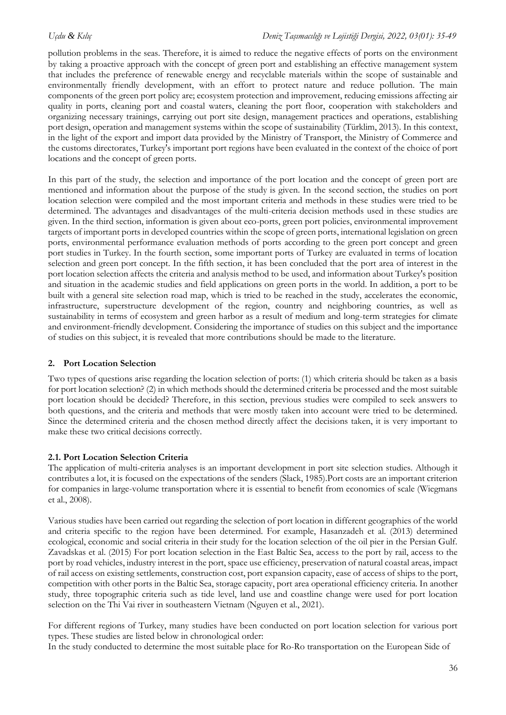pollution problems in the seas. Therefore, it is aimed to reduce the negative effects of ports on the environment by taking a proactive approach with the concept of green port and establishing an effective management system that includes the preference of renewable energy and recyclable materials within the scope of sustainable and environmentally friendly development, with an effort to protect nature and reduce pollution. The main components of the green port policy are; ecosystem protection and improvement, reducing emissions affecting air quality in ports, cleaning port and coastal waters, cleaning the port floor, cooperation with stakeholders and organizing necessary trainings, carrying out port site design, management practices and operations, establishing port design, operation and management systems within the scope of sustainability (Türklim, 2013). In this context, in the light of the export and import data provided by the Ministry of Transport, the Ministry of Commerce and the customs directorates, Turkey's important port regions have been evaluated in the context of the choice of port locations and the concept of green ports.

In this part of the study, the selection and importance of the port location and the concept of green port are mentioned and information about the purpose of the study is given. In the second section, the studies on port location selection were compiled and the most important criteria and methods in these studies were tried to be determined. The advantages and disadvantages of the multi-criteria decision methods used in these studies are given. In the third section, information is given about eco-ports, green port policies, environmental improvement targets of important ports in developed countries within the scope of green ports, international legislation on green ports, environmental performance evaluation methods of ports according to the green port concept and green port studies in Turkey. In the fourth section, some important ports of Turkey are evaluated in terms of location selection and green port concept. In the fifth section, it has been concluded that the port area of interest in the port location selection affects the criteria and analysis method to be used, and information about Turkey's position and situation in the academic studies and field applications on green ports in the world. In addition, a port to be built with a general site selection road map, which is tried to be reached in the study, accelerates the economic, infrastructure, superstructure development of the region, country and neighboring countries, as well as sustainability in terms of ecosystem and green harbor as a result of medium and long-term strategies for climate and environment-friendly development. Considering the importance of studies on this subject and the importance of studies on this subject, it is revealed that more contributions should be made to the literature.

# **2. Port Location Selection**

Two types of questions arise regarding the location selection of ports: (1) which criteria should be taken as a basis for port location selection? (2) in which methods should the determined criteria be processed and the most suitable port location should be decided? Therefore, in this section, previous studies were compiled to seek answers to both questions, and the criteria and methods that were mostly taken into account were tried to be determined. Since the determined criteria and the chosen method directly affect the decisions taken, it is very important to make these two critical decisions correctly.

# **2.1. Port Location Selection Criteria**

The application of multi-criteria analyses is an important development in port site selection studies. Although it contributes a lot, it is focused on the expectations of the senders (Slack, 1985).Port costs are an important criterion for companies in large-volume transportation where it is essential to benefit from economies of scale (Wiegmans et al., 2008).

Various studies have been carried out regarding the selection of port location in different geographies of the world and criteria specific to the region have been determined. For example, Hasanzadeh et al. (2013) determined ecological, economic and social criteria in their study for the location selection of the oil pier in the Persian Gulf. Zavadskas et al. (2015) For port location selection in the East Baltic Sea, access to the port by rail, access to the port by road vehicles, industry interest in the port, space use efficiency, preservation of natural coastal areas, impact of rail access on existing settlements, construction cost, port expansion capacity, ease of access of ships to the port, competition with other ports in the Baltic Sea, storage capacity, port area operational efficiency criteria. In another study, three topographic criteria such as tide level, land use and coastline change were used for port location selection on the Thi Vai river in southeastern Vietnam (Nguyen et al., 2021).

For different regions of Turkey, many studies have been conducted on port location selection for various port types. These studies are listed below in chronological order:

In the study conducted to determine the most suitable place for Ro-Ro transportation on the European Side of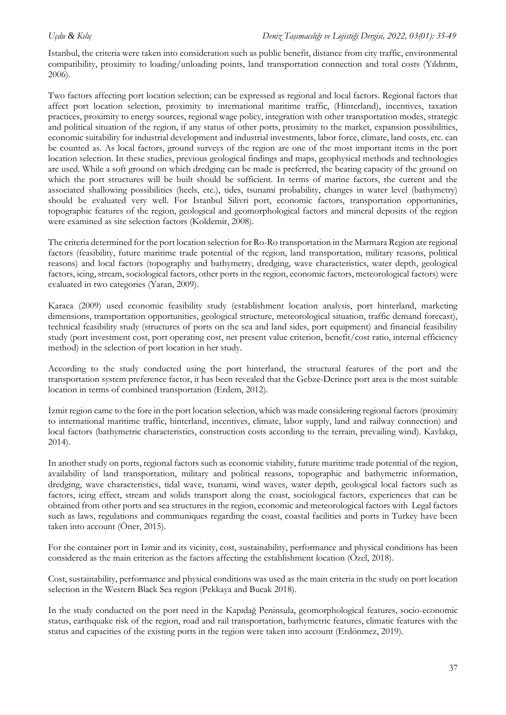Istanbul, the criteria were taken into consideration such as public benefit, distance from city traffic, environmental compatibility, proximity to loading/unloading points, land transportation connection and total costs (Yıldırım, 2006).

Two factors affecting port location selection; can be expressed as regional and local factors. Regional factors that affect port location selection, proximity to international maritime traffic, (Hinterland), incentives, taxation practices, proximity to energy sources, regional wage policy, integration with other transportation modes, strategic and political situation of the region, if any status of other ports, proximity to the market, expansion possibilities, economic suitability for industrial development and industrial investments, labor force, climate, land costs, etc. can be counted as. As local factors, ground surveys of the region are one of the most important items in the port location selection. In these studies, previous geological findings and maps, geophysical methods and technologies are used. While a soft ground on which dredging can be made is preferred, the bearing capacity of the ground on which the port structures will be built should be sufficient. In terms of marine factors, the current and the associated shallowing possibilities (heels, etc.), tides, tsunami probability, changes in water level (bathymetry) should be evaluated very well. For İstanbul Silivri port, economic factors, transportation opportunities, topographic features of the region, geological and geomorphological factors and mineral deposits of the region were examined as site selection factors (Koldemir, 2008).

The criteria determined for the port location selection for Ro-Ro transportation in the Marmara Region are regional factors (feasibility, future maritime trade potential of the region, land transportation, military reasons, political reasons) and local factors (topography and bathymetry, dredging, wave characteristics, water depth, geological factors, icing, stream, sociological factors, other ports in the region, economic factors, meteorological factors) were evaluated in two categories (Yaran, 2009).

Karaca (2009) used economic feasibility study (establishment location analysis, port hinterland, marketing dimensions, transportation opportunities, geological structure, meteorological situation, traffic demand forecast), technical feasibility study (structures of ports on the sea and land sides, port equipment) and financial feasibility study (port investment cost, port operating cost, net present value criterion, benefit/cost ratio, internal efficiency method) in the selection of port location in her study.

According to the study conducted using the port hinterland, the structural features of the port and the transportation system preference factor, it has been revealed that the Gebze-Derince port area is the most suitable location in terms of combined transportation (Erdem, 2012).

İzmit region came to the fore in the port location selection, which was made considering regional factors (proximity to international maritime traffic, hinterland, incentives, climate, labor supply, land and railway connection) and local factors (bathymetric characteristics, construction costs according to the terrain, prevailing wind). Kavlakçı, 2014).

In another study on ports, regional factors such as economic viability, future maritime trade potential of the region, availability of land transportation, military and political reasons, topographic and bathymetric information, dredging, wave characteristics, tidal wave, tsunami, wind waves, water depth, geological local factors such as factors, icing effect, stream and solids transport along the coast, sociological factors, experiences that can be obtained from other ports and sea structures in the region, economic and meteorological factors with Legal factors such as laws, regulations and communiques regarding the coast, coastal facilities and ports in Turkey have been taken into account (Öner, 2015).

For the container port in Izmir and its vicinity, cost, sustainability, performance and physical conditions has been considered as the main criterion as the factors affecting the establishment location (Özel, 2018).

Cost, sustainability, performance and physical conditions was used as the main criteria in the study on port location selection in the Western Black Sea region (Pekkaya and Bucak 2018).

In the study conducted on the port need in the Kapıdağ Peninsula, geomorphological features, socio-economic status, earthquake risk of the region, road and rail transportation, bathymetric features, climatic features with the status and capacities of the existing ports in the region were taken into account (Erdönmez, 2019).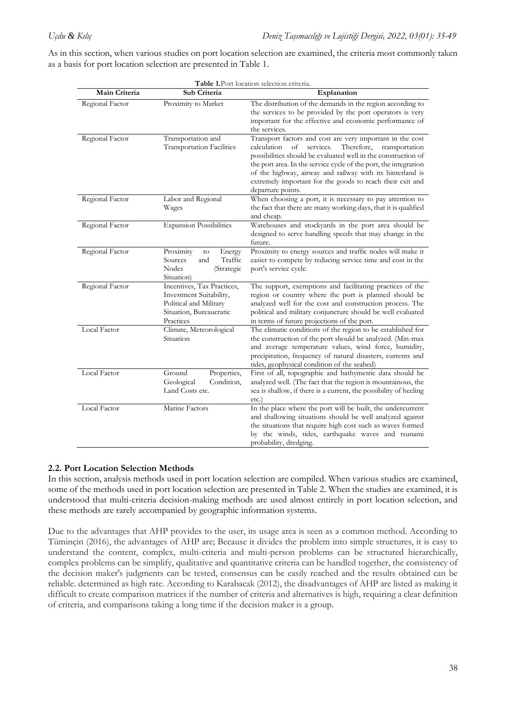As in this section, when various studies on port location selection are examined, the criteria most commonly taken as a basis for port location selection are presented in Table 1.

|                 |                                                                                                                         | Table 1. Port location selection criteria.                                                                                                                                                                                                                                                                                                                                                                      |
|-----------------|-------------------------------------------------------------------------------------------------------------------------|-----------------------------------------------------------------------------------------------------------------------------------------------------------------------------------------------------------------------------------------------------------------------------------------------------------------------------------------------------------------------------------------------------------------|
| Main Criteria   | Sub Criteria                                                                                                            | Explanation                                                                                                                                                                                                                                                                                                                                                                                                     |
| Regional Factor | Proximity to Market                                                                                                     | The distribution of the demands in the region according to<br>the services to be provided by the port operators is very<br>important for the effective and economic performance of<br>the services.                                                                                                                                                                                                             |
| Regional Factor | Transportation and<br><b>Transportation Facilities</b>                                                                  | Transport factors and cost are very important in the cost<br>of<br>services.<br>Therefore,<br>calculation<br>transportation<br>possibilities should be evaluated well in the construction of<br>the port area. In the service cycle of the port, the integration<br>of the highway, airway and railway with its hinterland is<br>extremely important for the goods to reach their exit and<br>departure points. |
| Regional Factor | Labor and Regional<br>Wages                                                                                             | When choosing a port, it is necessary to pay attention to<br>the fact that there are many working days, that it is qualified<br>and cheap.                                                                                                                                                                                                                                                                      |
| Regional Factor | <b>Expansion Possibilities</b>                                                                                          | Warehouses and stockyards in the port area should be<br>designed to serve handling speeds that may change in the<br>future.                                                                                                                                                                                                                                                                                     |
| Regional Factor | Proximity<br>Energy<br>to<br>Traffic<br>Sources<br>and<br>Nodes<br>(Strategic<br>Situation)                             | Proximity to energy sources and traffic nodes will make it<br>easier to compete by reducing service time and cost in the<br>port's service cycle.                                                                                                                                                                                                                                                               |
| Regional Factor | Incentives, Tax Practices,<br>Investment Suitability,<br>Political and Military<br>Situation, Bureaucratic<br>Practices | The support, exemptions and facilitating practices of the<br>region or country where the port is planned should be<br>analyzed well for the cost and construction process. The<br>political and military conjuncture should be well evaluated<br>in terms of future projections of the port.                                                                                                                    |
| Local Factor    | Climate, Meteorological<br>Situation                                                                                    | The climatic conditions of the region to be established for<br>the construction of the port should be analyzed. (Min-max<br>and average temperature values, wind force, humidity,<br>precipitation, frequency of natural disasters, currents and<br>tides, geophysical condition of the seabed)                                                                                                                 |
| Local Factor    | Ground<br>Properties,<br>Geological<br>Condition,<br>Land Costs etc.                                                    | First of all, topographic and bathymetric data should be<br>analyzed well. (The fact that the region is mountainous, the<br>sea is shallow, if there is a current, the possibility of heeling<br>etc.                                                                                                                                                                                                           |
| Local Factor    | Marine Factors                                                                                                          | In the place where the port will be built, the undercurrent<br>and shallowing situations should be well analyzed against<br>the situations that require high cost such as waves formed<br>by the winds, tides, earthquake waves and tsunami<br>probability, dredging.                                                                                                                                           |

# **2.2. Port Location Selection Methods**

In this section, analysis methods used in port location selection are compiled. When various studies are examined, some of the methods used in port location selection are presented in Table 2. When the studies are examined, it is understood that multi-criteria decision-making methods are used almost entirely in port location selection, and these methods are rarely accompanied by geographic information systems.

Due to the advantages that AHP provides to the user, its usage area is seen as a common method. According to Tüminçin (2016), the advantages of AHP are; Because it divides the problem into simple structures, it is easy to understand the content, complex, multi-criteria and multi-person problems can be structured hierarchically, complex problems can be simplify, qualitative and quantitative criteria can be handled together, the consistency of the decision maker's judgments can be tested, consensus can be easily reached and the results obtained can be reliable. determined as high rate. According to Karabacak (2012), the disadvantages of AHP are listed as making it difficult to create comparison matrices if the number of criteria and alternatives is high, requiring a clear definition of criteria, and comparisons taking a long time if the decision maker is a group.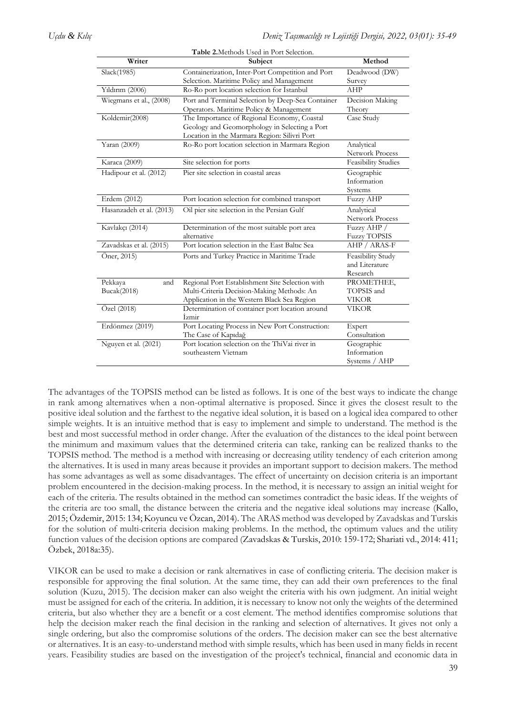| Table 2. Methods Used in Port Selection. |                                                   |                            |  |  |
|------------------------------------------|---------------------------------------------------|----------------------------|--|--|
| Writer                                   | Subject                                           | Method                     |  |  |
| Slack(1985)                              | Containerization, Inter-Port Competition and Port | Deadwood (DW)              |  |  |
|                                          | Selection. Maritime Policy and Management         | Survey                     |  |  |
| Yıldırım (2006)                          | Ro-Ro port location selection for Istanbul        | AHP                        |  |  |
| Wiegmans et al., (2008)                  | Port and Terminal Selection by Deep-Sea Container | Decision Making            |  |  |
|                                          | Operators. Maritime Policy & Management           | Theory                     |  |  |
| Koldemir(2008)                           | The Importance of Regional Economy, Coastal       | Case Study                 |  |  |
|                                          | Geology and Geomorphology in Selecting a Port     |                            |  |  |
|                                          | Location in the Marmara Region: Silivri Port      |                            |  |  |
| Yaran (2009)                             | Ro-Ro port location selection in Marmara Region   | Analytical                 |  |  |
|                                          |                                                   | Network Process            |  |  |
| Karaca (2009)                            | Site selection for ports                          | <b>Feasibility Studies</b> |  |  |
| Hadipour et al. (2012)                   | Pier site selection in coastal areas              | Geographic                 |  |  |
|                                          |                                                   | Information                |  |  |
|                                          |                                                   | Systems                    |  |  |
| Erdem (2012)                             | Port location selection for combined transport    | <b>Fuzzy AHP</b>           |  |  |
| Hasanzadeh et al. (2013)                 | Oil pier site selection in the Persian Gulf       | Analytical                 |  |  |
|                                          |                                                   | <b>Network Process</b>     |  |  |
| Kavlakçı (2014)                          | Determination of the most suitable port area      | Fuzzy AHP /                |  |  |
|                                          | alternative                                       | <b>Fuzzy TOPSIS</b>        |  |  |
| Zavadskas et al. (2015)                  | Port location selection in the East Baltic Sea    | AHP / ARAS-F               |  |  |
| $\overline{O}$ ner, 2015)                | Ports and Turkey Practice in Maritime Trade       | Feasibility Study          |  |  |
|                                          |                                                   | and Literature             |  |  |
|                                          |                                                   | Research                   |  |  |
| Pekkaya<br>and                           | Regional Port Establishment Site Selection with   | PROMETHEE,                 |  |  |
| Bucak(2018)                              | Multi-Criteria Decision-Making Methods: An        | TOPSIS and                 |  |  |
|                                          | Application in the Western Black Sea Region       | VIKOR                      |  |  |
| Özel (2018)                              | Determination of container port location around   | VIKOR                      |  |  |
|                                          | Izmir                                             |                            |  |  |
| Erdönmez (2019)                          | Port Locating Process in New Port Construction:   | Expert                     |  |  |
|                                          | The Case of Kapıdağ                               | Consultation               |  |  |
| Nguyen et al. (2021)                     | Port location selection on the ThiVai river in    | Geographic                 |  |  |
|                                          | southeastern Vietnam                              | Information                |  |  |
|                                          |                                                   | Systems / AHP              |  |  |

The advantages of the TOPSIS method can be listed as follows. It is one of the best ways to indicate the change in rank among alternatives when a non-optimal alternative is proposed. Since it gives the closest result to the positive ideal solution and the farthest to the negative ideal solution, it is based on a logical idea compared to other simple weights. It is an intuitive method that is easy to implement and simple to understand. The method is the best and most successful method in order change. After the evaluation of the distances to the ideal point between the minimum and maximum values that the determined criteria can take, ranking can be realized thanks to the TOPSIS method. The method is a method with increasing or decreasing utility tendency of each criterion among the alternatives. It is used in many areas because it provides an important support to decision makers. The method has some advantages as well as some disadvantages. The effect of uncertainty on decision criteria is an important problem encountered in the decision-making process. In the method, it is necessary to assign an initial weight for each of the criteria. The results obtained in the method can sometimes contradict the basic ideas. If the weights of the criteria are too small, the distance between the criteria and the negative ideal solutions may increase (Kallo, 2015; Özdemir, 2015: 134; Koyuncu ve Özcan, 2014). The ARAS method was developed by Zavadskas and Turskis for the solution of multi-criteria decision making problems. In the method, the optimum values and the utility function values of the decision options are compared (Zavadskas & Turskis, 2010: 159-172; Shariati vd., 2014: 411; Özbek, 2018a:35).

VIKOR can be used to make a decision or rank alternatives in case of conflicting criteria. The decision maker is responsible for approving the final solution. At the same time, they can add their own preferences to the final solution (Kuzu, 2015). The decision maker can also weight the criteria with his own judgment. An initial weight must be assigned for each of the criteria. In addition, it is necessary to know not only the weights of the determined criteria, but also whether they are a benefit or a cost element. The method identifies compromise solutions that help the decision maker reach the final decision in the ranking and selection of alternatives. It gives not only a single ordering, but also the compromise solutions of the orders. The decision maker can see the best alternative or alternatives. It is an easy-to-understand method with simple results, which has been used in many fields in recent years. Feasibility studies are based on the investigation of the project's technical, financial and economic data in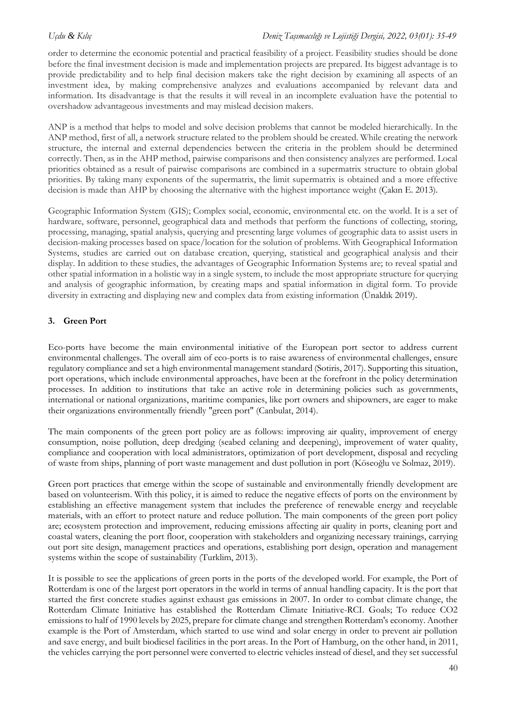order to determine the economic potential and practical feasibility of a project. Feasibility studies should be done before the final investment decision is made and implementation projects are prepared. Its biggest advantage is to provide predictability and to help final decision makers take the right decision by examining all aspects of an investment idea, by making comprehensive analyzes and evaluations accompanied by relevant data and information. Its disadvantage is that the results it will reveal in an incomplete evaluation have the potential to overshadow advantageous investments and may mislead decision makers.

ANP is a method that helps to model and solve decision problems that cannot be modeled hierarchically. In the ANP method, first of all, a network structure related to the problem should be created. While creating the network structure, the internal and external dependencies between the criteria in the problem should be determined correctly. Then, as in the AHP method, pairwise comparisons and then consistency analyzes are performed. Local priorities obtained as a result of pairwise comparisons are combined in a supermatrix structure to obtain global priorities. By taking many exponents of the supermatrix, the limit supermatrix is obtained and a more effective decision is made than AHP by choosing the alternative with the highest importance weight (Çakın E. 2013).

Geographic Information System (GIS); Complex social, economic, environmental etc. on the world. It is a set of hardware, software, personnel, geographical data and methods that perform the functions of collecting, storing, processing, managing, spatial analysis, querying and presenting large volumes of geographic data to assist users in decision-making processes based on space/location for the solution of problems. With Geographical Information Systems, studies are carried out on database creation, querying, statistical and geographical analysis and their display. In addition to these studies, the advantages of Geographic Information Systems are; to reveal spatial and other spatial information in a holistic way in a single system, to include the most appropriate structure for querying and analysis of geographic information, by creating maps and spatial information in digital form. To provide diversity in extracting and displaying new and complex data from existing information (Ünaldık 2019).

# **3. Green Port**

Eco-ports have become the main environmental initiative of the European port sector to address current environmental challenges. The overall aim of eco-ports is to raise awareness of environmental challenges, ensure regulatory compliance and set a high environmental management standard (Sotiris, 2017). Supporting this situation, port operations, which include environmental approaches, have been at the forefront in the policy determination processes. In addition to institutions that take an active role in determining policies such as governments, international or national organizations, maritime companies, like port owners and shipowners, are eager to make their organizations environmentally friendly "green port" (Canbulat, 2014).

The main components of the green port policy are as follows: improving air quality, improvement of energy consumption, noise pollution, deep dredging (seabed celaning and deepening), improvement of water quality, compliance and cooperation with local administrators, optimization of port development, disposal and recycling of waste from ships, planning of port waste management and dust pollution in port (Köseoğlu ve Solmaz, 2019).

Green port practices that emerge within the scope of sustainable and environmentally friendly development are based on volunteerism. With this policy, it is aimed to reduce the negative effects of ports on the environment by establishing an effective management system that includes the preference of renewable energy and recyclable materials, with an effort to protect nature and reduce pollution. The main components of the green port policy are; ecosystem protection and improvement, reducing emissions affecting air quality in ports, cleaning port and coastal waters, cleaning the port floor, cooperation with stakeholders and organizing necessary trainings, carrying out port site design, management practices and operations, establishing port design, operation and management systems within the scope of sustainability (Turklim, 2013).

It is possible to see the applications of green ports in the ports of the developed world. For example, the Port of Rotterdam is one of the largest port operators in the world in terms of annual handling capacity. It is the port that started the first concrete studies against exhaust gas emissions in 2007. In order to combat climate change, the Rotterdam Climate Initiative has established the Rotterdam Climate Initiative-RCI. Goals; To reduce CO2 emissions to half of 1990 levels by 2025, prepare for climate change and strengthen Rotterdam's economy. Another example is the Port of Amsterdam, which started to use wind and solar energy in order to prevent air pollution and save energy, and built biodiesel facilities in the port areas. In the Port of Hamburg, on the other hand, in 2011, the vehicles carrying the port personnel were converted to electric vehicles instead of diesel, and they set successful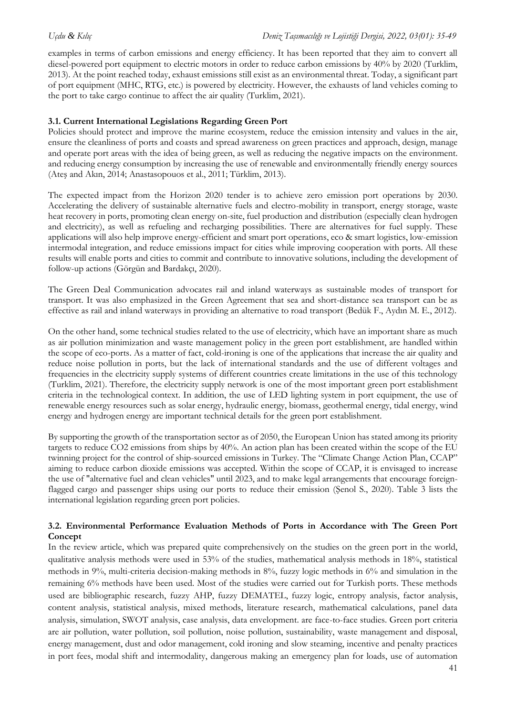examples in terms of carbon emissions and energy efficiency. It has been reported that they aim to convert all diesel-powered port equipment to electric motors in order to reduce carbon emissions by 40% by 2020 (Turklim, 2013). At the point reached today, exhaust emissions still exist as an environmental threat. Today, a significant part of port equipment (MHC, RTG, etc.) is powered by electricity. However, the exhausts of land vehicles coming to the port to take cargo continue to affect the air quality (Turklim, 2021).

# **3.1. Current International Legislations Regarding Green Port**

Policies should protect and improve the marine ecosystem, reduce the emission intensity and values in the air, ensure the cleanliness of ports and coasts and spread awareness on green practices and approach, design, manage and operate port areas with the idea of being green, as well as reducing the negative impacts on the environment. and reducing energy consumption by increasing the use of renewable and environmentally friendly energy sources (Ateş and Akın, 2014; Anastasopouos et al., 2011; Türklim, 2013).

The expected impact from the Horizon 2020 tender is to achieve zero emission port operations by 2030. Accelerating the delivery of sustainable alternative fuels and electro-mobility in transport, energy storage, waste heat recovery in ports, promoting clean energy on-site, fuel production and distribution (especially clean hydrogen and electricity), as well as refueling and recharging possibilities. There are alternatives for fuel supply. These applications will also help improve energy-efficient and smart port operations, eco & smart logistics, low-emission intermodal integration, and reduce emissions impact for cities while improving cooperation with ports. All these results will enable ports and cities to commit and contribute to innovative solutions, including the development of follow-up actions (Görgün and Bardakçı, 2020).

The Green Deal Communication advocates rail and inland waterways as sustainable modes of transport for transport. It was also emphasized in the Green Agreement that sea and short-distance sea transport can be as effective as rail and inland waterways in providing an alternative to road transport (Bedük F., Aydın M. E., 2012).

On the other hand, some technical studies related to the use of electricity, which have an important share as much as air pollution minimization and waste management policy in the green port establishment, are handled within the scope of eco-ports. As a matter of fact, cold-ironing is one of the applications that increase the air quality and reduce noise pollution in ports, but the lack of international standards and the use of different voltages and frequencies in the electricity supply systems of different countries create limitations in the use of this technology (Turklim, 2021). Therefore, the electricity supply network is one of the most important green port establishment criteria in the technological context. In addition, the use of LED lighting system in port equipment, the use of renewable energy resources such as solar energy, hydraulic energy, biomass, geothermal energy, tidal energy, wind energy and hydrogen energy are important technical details for the green port establishment.

By supporting the growth of the transportation sector as of 2050, the European Union has stated among its priority targets to reduce CO2 emissions from ships by 40%. An action plan has been created within the scope of the EU twinning project for the control of ship-sourced emissions in Turkey. The "Climate Change Action Plan, CCAP" aiming to reduce carbon dioxide emissions was accepted. Within the scope of CCAP, it is envisaged to increase the use of "alternative fuel and clean vehicles" until 2023, and to make legal arrangements that encourage foreignflagged cargo and passenger ships using our ports to reduce their emission (Şenol S., 2020). Table 3 lists the international legislation regarding green port policies.

# **3.2. Environmental Performance Evaluation Methods of Ports in Accordance with The Green Port Concept**

In the review article, which was prepared quite comprehensively on the studies on the green port in the world, qualitative analysis methods were used in 53% of the studies, mathematical analysis methods in 18%, statistical methods in 9%, multi-criteria decision-making methods in 8%, fuzzy logic methods in 6% and simulation in the remaining 6% methods have been used. Most of the studies were carried out for Turkish ports. These methods used are bibliographic research, fuzzy AHP, fuzzy DEMATEL, fuzzy logic, entropy analysis, factor analysis, content analysis, statistical analysis, mixed methods, literature research, mathematical calculations, panel data analysis, simulation, SWOT analysis, case analysis, data envelopment. are face-to-face studies. Green port criteria are air pollution, water pollution, soil pollution, noise pollution, sustainability, waste management and disposal, energy management, dust and odor management, cold ironing and slow steaming, incentive and penalty practices in port fees, modal shift and intermodality, dangerous making an emergency plan for loads, use of automation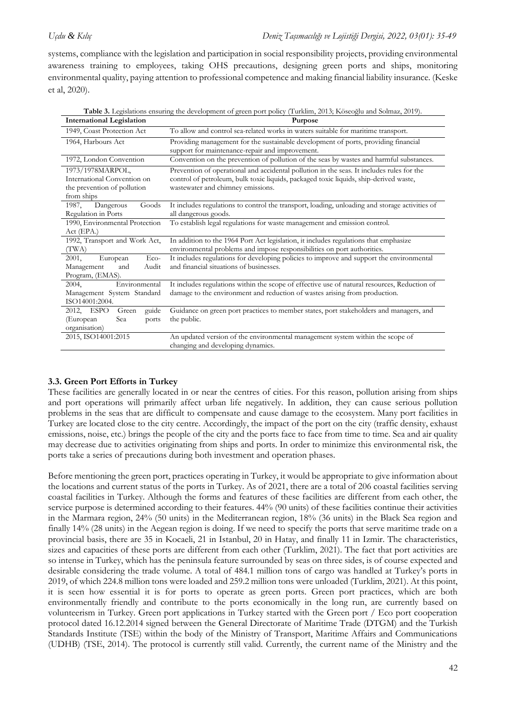systems, compliance with the legislation and participation in social responsibility projects, providing environmental awareness training to employees, taking OHS precautions, designing green ports and ships, monitoring environmental quality, paying attention to professional competence and making financial liability insurance. (Keske et al, 2020).

| <b>International Legislation</b>                                              | Purpose                                                                                                                                                                    |
|-------------------------------------------------------------------------------|----------------------------------------------------------------------------------------------------------------------------------------------------------------------------|
| 1949, Coast Protection Act                                                    | To allow and control sea-related works in waters suitable for maritime transport.                                                                                          |
| 1964, Harbours Act                                                            | Providing management for the sustainable development of ports, providing financial<br>support for maintenance-repair and improvement.                                      |
| 1972, London Convention                                                       | Convention on the prevention of pollution of the seas by wastes and harmful substances.                                                                                    |
| 1973/1978MARPOL,                                                              | Prevention of operational and accidental pollution in the seas. It includes rules for the                                                                                  |
| International Convention on<br>the prevention of pollution<br>from ships      | control of petroleum, bulk toxic liquids, packaged toxic liquids, ship-derived waste,<br>wastewater and chimney emissions.                                                 |
| 1987,<br>Dangerous<br>Goods<br>Regulation in Ports                            | It includes regulations to control the transport, loading, unloading and storage activities of<br>all dangerous goods.                                                     |
| 1990, Environmental Protection<br>Act (EPA.)                                  | To establish legal regulations for waste management and emission control.                                                                                                  |
| 1992, Transport and Work Act,<br>(TWA)                                        | In addition to the 1964 Port Act legislation, it includes regulations that emphasize<br>environmental problems and impose responsibilities on port authorities.            |
| European<br>$Eco-$<br>2001,<br>Audit<br>Management<br>and<br>Program, (EMAS). | It includes regulations for developing policies to improve and support the environmental<br>and financial situations of businesses.                                        |
| Environmental<br>2004,<br>Management System Standard<br>ISO14001:2004.        | It includes regulations within the scope of effective use of natural resources, Reduction of<br>damage to the environment and reduction of wastes arising from production. |
| guide<br>2012, ESPO<br>Green                                                  | Guidance on green port practices to member states, port stakeholders and managers, and                                                                                     |
| Sea<br>(European<br>ports<br>organisation)                                    | the public.                                                                                                                                                                |
| 2015, ISO14001:2015                                                           | An updated version of the environmental management system within the scope of<br>changing and developing dynamics.                                                         |

**Table 3.** Legislations ensuring the development of green port policy (Turklim, 2013; Köseoğlu and Solmaz, 2019).

# **3.3. Green Port Efforts in Turkey**

These facilities are generally located in or near the centres of cities. For this reason, pollution arising from ships and port operations will primarily affect urban life negatively. In addition, they can cause serious pollution problems in the seas that are difficult to compensate and cause damage to the ecosystem. Many port facilities in Turkey are located close to the city centre. Accordingly, the impact of the port on the city (traffic density, exhaust emissions, noise, etc.) brings the people of the city and the ports face to face from time to time. Sea and air quality may decrease due to activities originating from ships and ports. In order to minimize this environmental risk, the ports take a series of precautions during both investment and operation phases.

Before mentioning the green port, practices operating in Turkey, it would be appropriate to give information about the locations and current status of the ports in Turkey. As of 2021, there are a total of 206 coastal facilities serving coastal facilities in Turkey. Although the forms and features of these facilities are different from each other, the service purpose is determined according to their features. 44% (90 units) of these facilities continue their activities in the Marmara region, 24% (50 units) in the Mediterranean region, 18% (36 units) in the Black Sea region and finally 14% (28 units) in the Aegean region is doing. If we need to specify the ports that serve maritime trade on a provincial basis, there are 35 in Kocaeli, 21 in Istanbul, 20 in Hatay, and finally 11 in Izmir. The characteristics, sizes and capacities of these ports are different from each other (Turklim, 2021). The fact that port activities are so intense in Turkey, which has the peninsula feature surrounded by seas on three sides, is of course expected and desirable considering the trade volume. A total of 484.1 million tons of cargo was handled at Turkey's ports in 2019, of which 224.8 million tons were loaded and 259.2 million tons were unloaded (Turklim, 2021). At this point, it is seen how essential it is for ports to operate as green ports. Green port practices, which are both environmentally friendly and contribute to the ports economically in the long run, are currently based on volunteerism in Turkey. Green port applications in Turkey started with the Green port / Eco port cooperation protocol dated 16.12.2014 signed between the General Directorate of Maritime Trade (DTGM) and the Turkish Standards Institute (TSE) within the body of the Ministry of Transport, Maritime Affairs and Communications (UDHB) (TSE, 2014). The protocol is currently still valid. Currently, the current name of the Ministry and the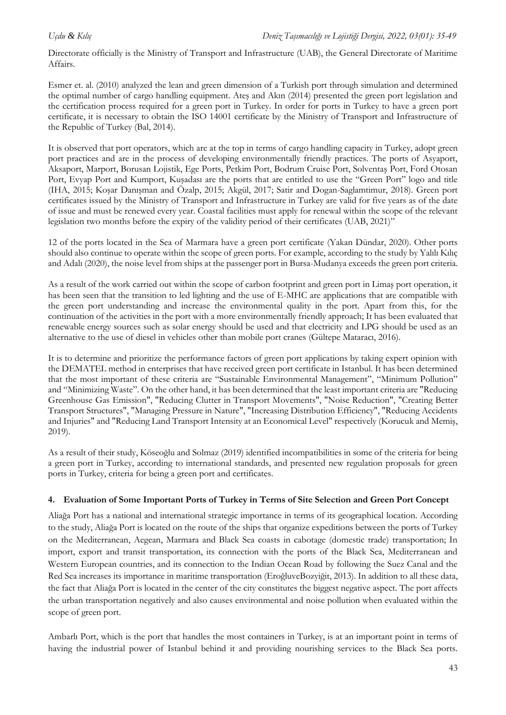Directorate officially is the Ministry of Transport and Infrastructure (UAB), the General Directorate of Maritime Affairs.

Esmer et. al. (2010) analyzed the lean and green dimension of a Turkish port through simulation and determined the optimal number of cargo handling equipment. Ateş and Akın (2014) presented the green port legislation and the certification process required for a green port in Turkey. In order for ports in Turkey to have a green port certificate, it is necessary to obtain the ISO 14001 certificate by the Ministry of Transport and Infrastructure of the Republic of Turkey (Bal, 2014).

It is observed that port operators, which are at the top in terms of cargo handling capacity in Turkey, adopt green port practices and are in the process of developing environmentally friendly practices. The ports of Asyaport, Aksaport, Marport, Borusan Lojistik, Ege Ports, Petkim Port, Bodrum Cruise Port, Solventaş Port, Ford Otosan Port, Evyap Port and Kumport, Kuşadası are the ports that are entitled to use the "Green Port" logo and title (IHA, 2015; Koşar Danışman and Özalp, 2015; Akgül, 2017; Satir and Dogan-Saglamtimur, 2018). Green port certificates issued by the Ministry of Transport and Infrastructure in Turkey are valid for five years as of the date of issue and must be renewed every year. Coastal facilities must apply for renewal within the scope of the relevant legislation two months before the expiry of the validity period of their certificates (UAB, 2021)"

12 of the ports located in the Sea of Marmara have a green port certificate (Yakan Dündar, 2020). Other ports should also continue to operate within the scope of green ports. For example, according to the study by Yalılı Kılıç and Adalı (2020), the noise level from ships at the passenger port in Bursa-Mudanya exceeds the green port criteria.

As a result of the work carried out within the scope of carbon footprint and green port in Limaş port operation, it has been seen that the transition to led lighting and the use of E-MHC are applications that are compatible with the green port understanding and increase the environmental quality in the port. Apart from this, for the continuation of the activities in the port with a more environmentally friendly approach; It has been evaluated that renewable energy sources such as solar energy should be used and that electricity and LPG should be used as an alternative to the use of diesel in vehicles other than mobile port cranes (Gültepe Mataracı, 2016).

It is to determine and prioritize the performance factors of green port applications by taking expert opinion with the DEMATEL method in enterprises that have received green port certificate in Istanbul. It has been determined that the most important of these criteria are "Sustainable Environmental Management", "Minimum Pollution" and "Minimizing Waste". On the other hand, it has been determined that the least important criteria are "Reducing Greenhouse Gas Emission", "Reducing Clutter in Transport Movements", "Noise Reduction", "Creating Better Transport Structures", "Managing Pressure in Nature", "Increasing Distribution Efficiency", "Reducing Accidents and Injuries" and "Reducing Land Transport Intensity at an Economical Level" respectively (Korucuk and Memiş, 2019).

As a result of their study, Köseoğlu and Solmaz (2019) identified incompatibilities in some of the criteria for being a green port in Turkey, according to international standards, and presented new regulation proposals for green ports in Turkey, criteria for being a green port and certificates.

# **4. Evaluation of Some Important Ports of Turkey in Terms of Site Selection and Green Port Concept**

Aliağa Port has a national and international strategic importance in terms of its geographical location. According to the study, Aliağa Port is located on the route of the ships that organize expeditions between the ports of Turkey on the Mediterranean, Aegean, Marmara and Black Sea coasts in cabotage (domestic trade) transportation; In import, export and transit transportation, its connection with the ports of the Black Sea, Mediterranean and Western European countries, and its connection to the Indian Ocean Road by following the Suez Canal and the Red Sea increases its importance in maritime transportation (EroğluveBozyiğit, 2013). In addition to all these data, the fact that Aliağa Port is located in the center of the city constitutes the biggest negative aspect. The port affects the urban transportation negatively and also causes environmental and noise pollution when evaluated within the scope of green port.

Ambarlı Port, which is the port that handles the most containers in Turkey, is at an important point in terms of having the industrial power of Istanbul behind it and providing nourishing services to the Black Sea ports.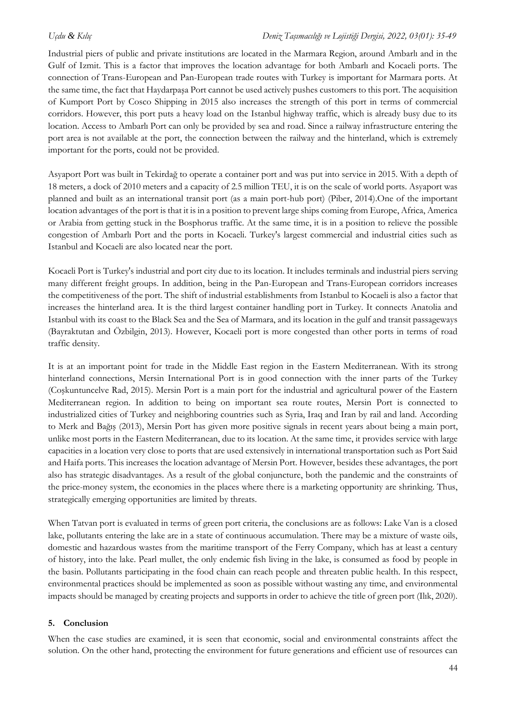Industrial piers of public and private institutions are located in the Marmara Region, around Ambarlı and in the Gulf of Izmit. This is a factor that improves the location advantage for both Ambarlı and Kocaeli ports. The connection of Trans-European and Pan-European trade routes with Turkey is important for Marmara ports. At the same time, the fact that Haydarpaşa Port cannot be used actively pushes customers to this port. The acquisition of Kumport Port by Cosco Shipping in 2015 also increases the strength of this port in terms of commercial corridors. However, this port puts a heavy load on the Istanbul highway traffic, which is already busy due to its location. Access to Ambarlı Port can only be provided by sea and road. Since a railway infrastructure entering the port area is not available at the port, the connection between the railway and the hinterland, which is extremely important for the ports, could not be provided.

Asyaport Port was built in Tekirdağ to operate a container port and was put into service in 2015. With a depth of 18 meters, a dock of 2010 meters and a capacity of 2.5 million TEU, it is on the scale of world ports. Asyaport was planned and built as an international transit port (as a main port-hub port) (Piber, 2014).One of the important location advantages of the port is that it is in a position to prevent large ships coming from Europe, Africa, America or Arabia from getting stuck in the Bosphorus traffic. At the same time, it is in a position to relieve the possible congestion of Ambarlı Port and the ports in Kocaeli. Turkey's largest commercial and industrial cities such as Istanbul and Kocaeli are also located near the port.

Kocaeli Port is Turkey's industrial and port city due to its location. It includes terminals and industrial piers serving many different freight groups. In addition, being in the Pan-European and Trans-European corridors increases the competitiveness of the port. The shift of industrial establishments from Istanbul to Kocaeli is also a factor that increases the hinterland area. It is the third largest container handling port in Turkey. It connects Anatolia and Istanbul with its coast to the Black Sea and the Sea of Marmara, and its location in the gulf and transit passageways (Bayraktutan and Özbilgin, 2013). However, Kocaeli port is more congested than other ports in terms of road traffic density.

It is at an important point for trade in the Middle East region in the Eastern Mediterranean. With its strong hinterland connections, Mersin International Port is in good connection with the inner parts of the Turkey (Coşkuntuncelve Rad, 2015). Mersin Port is a main port for the industrial and agricultural power of the Eastern Mediterranean region. In addition to being on important sea route routes, Mersin Port is connected to industrialized cities of Turkey and neighboring countries such as Syria, Iraq and Iran by rail and land. According to Merk and Bağış (2013), Mersin Port has given more positive signals in recent years about being a main port, unlike most ports in the Eastern Mediterranean, due to its location. At the same time, it provides service with large capacities in a location very close to ports that are used extensively in international transportation such as Port Said and Haifa ports. This increases the location advantage of Mersin Port. However, besides these advantages, the port also has strategic disadvantages. As a result of the global conjuncture, both the pandemic and the constraints of the price-money system, the economies in the places where there is a marketing opportunity are shrinking. Thus, strategically emerging opportunities are limited by threats.

When Tatvan port is evaluated in terms of green port criteria, the conclusions are as follows: Lake Van is a closed lake, pollutants entering the lake are in a state of continuous accumulation. There may be a mixture of waste oils, domestic and hazardous wastes from the maritime transport of the Ferry Company, which has at least a century of history, into the lake. Pearl mullet, the only endemic fish living in the lake, is consumed as food by people in the basin. Pollutants participating in the food chain can reach people and threaten public health. In this respect, environmental practices should be implemented as soon as possible without wasting any time, and environmental impacts should be managed by creating projects and supports in order to achieve the title of green port (Ilık, 2020).

# **5. Conclusion**

When the case studies are examined, it is seen that economic, social and environmental constraints affect the solution. On the other hand, protecting the environment for future generations and efficient use of resources can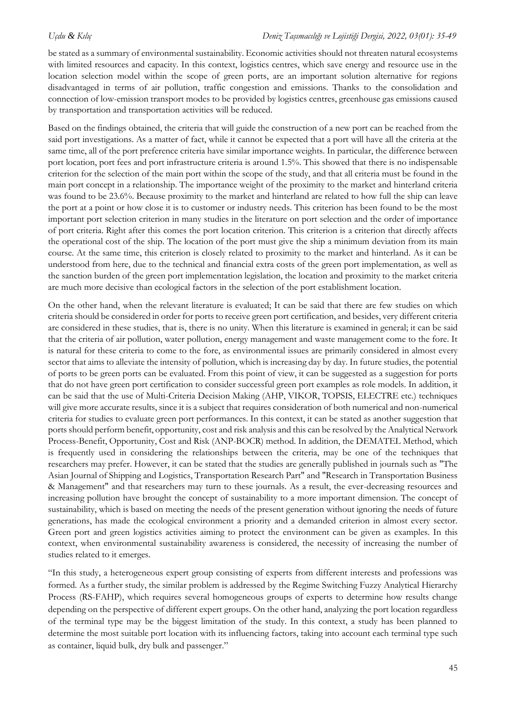be stated as a summary of environmental sustainability. Economic activities should not threaten natural ecosystems with limited resources and capacity. In this context, logistics centres, which save energy and resource use in the location selection model within the scope of green ports, are an important solution alternative for regions disadvantaged in terms of air pollution, traffic congestion and emissions. Thanks to the consolidation and connection of low-emission transport modes to be provided by logistics centres, greenhouse gas emissions caused by transportation and transportation activities will be reduced.

Based on the findings obtained, the criteria that will guide the construction of a new port can be reached from the said port investigations. As a matter of fact, while it cannot be expected that a port will have all the criteria at the same time, all of the port preference criteria have similar importance weights. In particular, the difference between port location, port fees and port infrastructure criteria is around 1.5%. This showed that there is no indispensable criterion for the selection of the main port within the scope of the study, and that all criteria must be found in the main port concept in a relationship. The importance weight of the proximity to the market and hinterland criteria was found to be 23.6%. Because proximity to the market and hinterland are related to how full the ship can leave the port at a point or how close it is to customer or industry needs. This criterion has been found to be the most important port selection criterion in many studies in the literature on port selection and the order of importance of port criteria. Right after this comes the port location criterion. This criterion is a criterion that directly affects the operational cost of the ship. The location of the port must give the ship a minimum deviation from its main course. At the same time, this criterion is closely related to proximity to the market and hinterland. As it can be understood from here, due to the technical and financial extra costs of the green port implementation, as well as the sanction burden of the green port implementation legislation, the location and proximity to the market criteria are much more decisive than ecological factors in the selection of the port establishment location.

On the other hand, when the relevant literature is evaluated; It can be said that there are few studies on which criteria should be considered in order for ports to receive green port certification, and besides, very different criteria are considered in these studies, that is, there is no unity. When this literature is examined in general; it can be said that the criteria of air pollution, water pollution, energy management and waste management come to the fore. It is natural for these criteria to come to the fore, as environmental issues are primarily considered in almost every sector that aims to alleviate the intensity of pollution, which is increasing day by day. In future studies, the potential of ports to be green ports can be evaluated. From this point of view, it can be suggested as a suggestion for ports that do not have green port certification to consider successful green port examples as role models. In addition, it can be said that the use of Multi-Criteria Decision Making (AHP, VIKOR, TOPSIS, ELECTRE etc.) techniques will give more accurate results, since it is a subject that requires consideration of both numerical and non-numerical criteria for studies to evaluate green port performances. In this context, it can be stated as another suggestion that ports should perform benefit, opportunity, cost and risk analysis and this can be resolved by the Analytical Network Process-Benefit, Opportunity, Cost and Risk (ANP-BOCR) method. In addition, the DEMATEL Method, which is frequently used in considering the relationships between the criteria, may be one of the techniques that researchers may prefer. However, it can be stated that the studies are generally published in journals such as "The Asian Journal of Shipping and Logistics, Transportation Research Part" and "Research in Transportation Business & Management" and that researchers may turn to these journals. As a result, the ever-decreasing resources and increasing pollution have brought the concept of sustainability to a more important dimension. The concept of sustainability, which is based on meeting the needs of the present generation without ignoring the needs of future generations, has made the ecological environment a priority and a demanded criterion in almost every sector. Green port and green logistics activities aiming to protect the environment can be given as examples. In this context, when environmental sustainability awareness is considered, the necessity of increasing the number of studies related to it emerges.

"In this study, a heterogeneous expert group consisting of experts from different interests and professions was formed. As a further study, the similar problem is addressed by the Regime Switching Fuzzy Analytical Hierarchy Process (RS-FAHP), which requires several homogeneous groups of experts to determine how results change depending on the perspective of different expert groups. On the other hand, analyzing the port location regardless of the terminal type may be the biggest limitation of the study. In this context, a study has been planned to determine the most suitable port location with its influencing factors, taking into account each terminal type such as container, liquid bulk, dry bulk and passenger."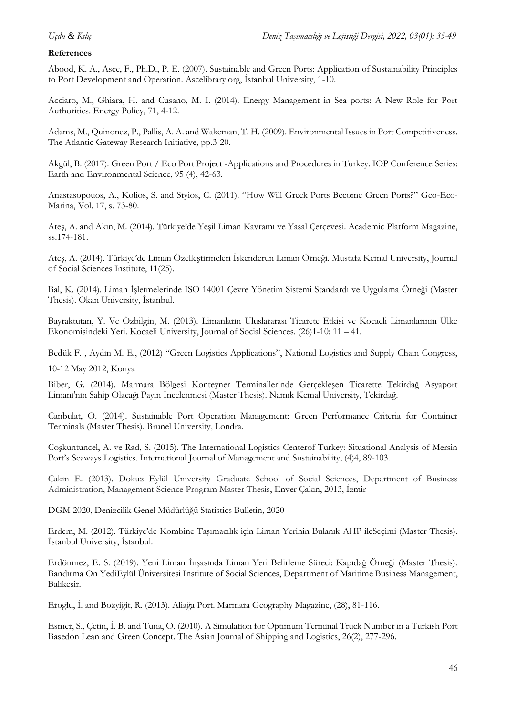### **References**

Abood, K. A., Asce, F., Ph.D., P. E. (2007). Sustainable and Green Ports: Application of Sustainability Principles to Port Development and Operation. Ascelibrary.org, İstanbul University, 1-10.

Acciaro, M., Ghiara, H. and Cusano, M. I. (2014). Energy Management in Sea ports: A New Role for Port Authorities. Energy Policy, 71, 4-12.

Adams, M., Quinonez, P., Pallis, A. A. and Wakeman, T. H. (2009). Environmental Issues in Port Competitiveness. The Atlantic Gateway Research Initiative, pp.3-20.

Akgül, B. (2017). Green Port / Eco Port Project -Applications and Procedures in Turkey. IOP Conference Series: Earth and Environmental Science, 95 (4), 42-63.

Anastasopouos, A., Kolios, S. and Styios, C. (2011). "How Will Greek Ports Become Green Ports?" Geo-Eco-Marina, Vol. 17, s. 73-80.

Ateş, A. and Akın, M. (2014). Türkiye'de Yeşil Liman Kavramı ve Yasal Çerçevesi. Academic Platform Magazine, ss.174-181.

Ateş, A. (2014). Türkiye'de Liman Özelleştirmeleri İskenderun Liman Örneği. Mustafa Kemal University, Journal of Social Sciences Institute, 11(25).

Bal, K. (2014). Liman İşletmelerinde ISO 14001 Çevre Yönetim Sistemi Standardı ve Uygulama Örneği (Master Thesis). Okan University, İstanbul.

Bayraktutan, Y. Ve Özbilgin, M. (2013). Limanların Uluslararası Ticarete Etkisi ve Kocaeli Limanlarının Ülke Ekonomisindeki Yeri. Kocaeli University, Journal of Social Sciences. (26)1-10: 11 – 41.

Bedük F. , Aydın M. E., (2012) "Green Logistics Applications", National Logistics and Supply Chain Congress, 10-12 May 2012, Konya

Biber, G. (2014). Marmara Bölgesi Konteyner Terminallerinde Gerçekleşen Ticarette Tekirdağ Asyaport Limanı'nın Sahip Olacağı Payın İncelenmesi (Master Thesis). Namık Kemal University, Tekirdağ.

Canbulat, O. (2014). Sustainable Port Operation Management: Green Performance Criteria for Container Terminals (Master Thesis). Brunel University, Londra.

Coşkuntuncel, A. ve Rad, S. (2015). The International Logistics Centerof Turkey: Situational Analysis of Mersin Port's Seaways Logistics. International Journal of Management and Sustainability, (4)4, 89-103.

Çakın E. (2013). Dokuz Eylül University Graduate School of Social Sciences, Department of Business Administration, Management Science Program Master Thesis, Enver Çakın, 2013, İzmir

DGM 2020, Denizcilik Genel Müdürlüğü Statistics Bulletin, 2020

Erdem, M. (2012). Türkiye'de Kombine Taşımacılık için Liman Yerinin Bulanık AHP ileSeçimi (Master Thesis). İstanbul University, İstanbul.

Erdönmez, E. S. (2019). Yeni Liman İnşasında Liman Yeri Belirleme Süreci: Kapıdağ Örneği (Master Thesis). Bandırma On YediEylül Üniversitesi Institute of Social Sciences, Department of Maritime Business Management, Balıkesir.

Eroğlu, İ. and Bozyiğit, R. (2013). Aliağa Port. Marmara Geography Magazine, (28), 81-116.

Esmer, S., Çetin, İ. B. and Tuna, O. (2010). A Simulation for Optimum Terminal Truck Number in a Turkish Port Basedon Lean and Green Concept. The Asian Journal of Shipping and Logistics, 26(2), 277-296.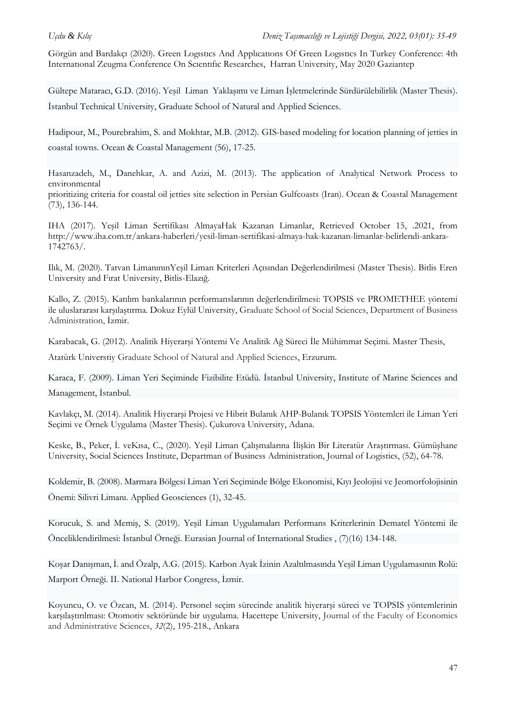Görgün and Bardakçı (2020). Green Logıstıcs And Applıcatıons Of Green Logıstıcs In Turkey Conference: 4th Internatıonal Zeugma Conference On Scıentıfıc Researches, Harran University, May 2020 Gaziantep

Gültepe Mataracı, G.D. (2016). Yeşil Liman Yaklaşımı ve Liman İşletmelerinde Sürdürülebilirlik (Master Thesis). İstanbul Technical University, Graduate School of Natural and Applied Sciences.

Hadipour, M., Pourebrahim, S. and Mokhtar, M.B. (2012). GIS-based modeling for location planning of jetties in coastal towns. Ocean & Coastal Management (56), 17-25.

Hasanzadeh, M., Danehkar, A. and Azizi, M. (2013). The application of Analytical Network Process to environmental

prioritizing criteria for coastal oil jetties site selection in Persian Gulfcoasts (Iran). Ocean & Coastal Management (73), 136-144.

IHA (2017). Yeşil Liman Sertifikası AlmayaHak Kazanan Limanlar, Retrieved October 15, .2021, from http://www.iha.com.tr/ankara-haberleri/yesil-liman-sertifikasi-almaya-hak-kazanan-limanlar-belirlendi-ankara-1742763/.

Ilık, M. (2020). Tatvan LimanınınYeşil Liman Kriterleri Açısından Değerlendirilmesi (Master Thesis). Bitlis Eren University and Fırat University, Bitlis-Elazığ.

Kallo, Z. (2015). Katılım bankalarının performanslarının değerlendirilmesi: TOPSIS ve PROMETHEE yöntemi ile uluslararası karşılaştırma. Dokuz Eylül University, Graduate School of Social Sciences, Department of Business Administration, İzmir.

Karabacak, G. (2012). Analitik Hiyerarşi Yöntemi Ve Analitik Ağ Süreci İle Mühimmat Seçimi. Master Thesis,

Atatürk Universtiy Graduate School of Natural and Applied Sciences, Erzurum.

Karaca, F. (2009). Liman Yeri Seçiminde Fizibilite Etüdü. İstanbul University, Institute of Marine Sciences and Management, İstanbul.

Kavlakçı, M. (2014). Analitik Hiyerarşi Projesi ve Hibrit Bulanık AHP-Bulanık TOPSIS Yöntemleri ile Liman Yeri Seçimi ve Örnek Uygulama (Master Thesis). Çukurova University, Adana.

Keske, B., Peker, İ. veKısa, C., (2020). Yeşil Liman Çalışmalarına İlişkin Bir Literatür Araştırması. Gümüşhane University, Social Sciences Institute, Departman of Business Administration, Journal of Logistics, (52), 64-78.

Koldemir, B. (2008). Marmara Bölgesi Liman Yeri Seçiminde Bölge Ekonomisi, Kıyı Jeolojisi ve Jeomorfolojisinin Önemi: Silivri Limanı. Applied Geosciences (1), 32-45.

Korucuk, S. and Memiş, S. (2019). Yeşil Liman Uygulamaları Performans Kriterlerinin Dematel Yöntemi ile Önceliklendirilmesi: İstanbul Örneği. Eurasian Journal of International Studies , (7)(16) 134-148.

Koşar Danışman, İ. and Özalp, A.G. (2015). Karbon Ayak İzinin Azaltılmasında Yeşil Liman Uygulamasının Rolü: Marport Örneği. II. National Harbor Congress, İzmir.

Koyuncu, O. ve Özcan, M. (2014). Personel seçim sürecinde analitik hiyerarşi süreci ve TOPSIS yöntemlerinin karşılaştırılması: Otomotiv sektöründe bir uygulama. Hacettepe University, Journal of the Faculty of Economics and Administrative Sciences, *32*(2), 195-218., Ankara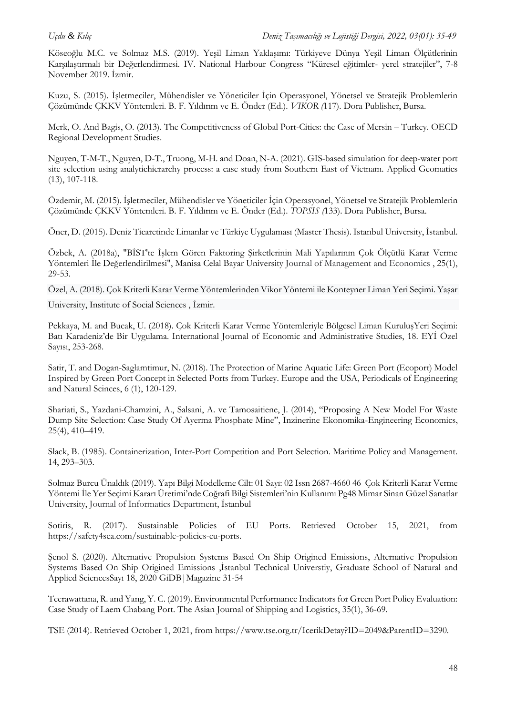Köseoğlu M.C. ve Solmaz M.S. (2019). Yeşil Liman Yaklaşımı: Türkiyeve Dünya Yeşil Liman Ölçütlerinin Karşılaştırmalı bir Değerlendirmesi. IV. National Harbour Congress "Küresel eğitimler- yerel stratejiler", 7-8 November 2019. İzmir.

Kuzu, S. (2015). İşletmeciler, Mühendisler ve Yöneticiler İçin Operasyonel, Yönetsel ve Stratejik Problemlerin Çözümünde ÇKKV Yöntemleri. B. F. Yıldırım ve E. Önder (Ed.). *VIKOR (*117). Dora Publisher, Bursa.

Merk, O. And Bagis, O. (2013). The Competitiveness of Global Port-Cities: the Case of Mersin – Turkey. OECD Regional Development Studies.

Nguyen, T-M-T., Nguyen, D-T., Truong, M-H. and Doan, N-A. (2021). GIS-based simulation for deep-water port site selection using analytichierarchy process: a case study from Southern East of Vietnam. Applied Geomatics (13), 107-118.

Özdemir, M. (2015). İşletmeciler, Mühendisler ve Yöneticiler İçin Operasyonel, Yönetsel ve Stratejik Problemlerin Çözümünde ÇKKV Yöntemleri. B. F. Yıldırım ve E. Önder (Ed.). *TOPSIS (*133). Dora Publisher, Bursa.

Öner, D. (2015). Deniz Ticaretinde Limanlar ve Türkiye Uygulaması (Master Thesis). Istanbul University, İstanbul.

Özbek, A. (2018a), "BİST'te İşlem Gören Faktoring Şirketlerinin Mali Yapılarının Çok Ölçütlü Karar Verme Yöntemleri İle Değerlendirilmesi", Manisa Celal Bayar University Journal of Management and Economics , 25(1), 29-53.

Özel, A. (2018). Çok Kriterli Karar Verme Yöntemlerinden Vikor Yöntemi ile Konteyner Liman Yeri Seçimi. Yaşar

University, Institute of Social Sciences , İzmir.

Pekkaya, M. and Bucak, U. (2018). Çok Kriterli Karar Verme Yöntemleriyle Bölgesel Liman KuruluşYeri Seçimi: Batı Karadeniz'de Bir Uygulama. International Journal of Economic and Administrative Studies, 18. EYİ Özel Sayısı, 253-268.

Satir, T. and Dogan-Saglamtimur, N. (2018). The Protection of Marine Aquatic Life: Green Port (Ecoport) Model Inspired by Green Port Concept in Selected Ports from Turkey. Europe and the USA, Periodicals of Engineering and Natural Scinces, 6 (1), 120-129.

Shariati, S., Yazdani-Chamzini, A., Salsani, A. ve Tamosaitiene, J. (2014), "Proposing A New Model For Waste Dump Site Selection: Case Study Of Ayerma Phosphate Mine", Inzinerine Ekonomika-Engineering Economics, 25(4), 410–419.

Slack, B. (1985). Containerization, Inter-Port Competition and Port Selection. Maritime Policy and Management. 14, 293–303.

Solmaz Burcu Ünaldık (2019). Yapı Bilgi Modelleme Cilt: 01 Sayı: 02 Issn 2687-4660 46 Çok Kriterli Karar Verme Yöntemi İle Yer Seçimi Kararı Üretimi'nde Coğrafi Bilgi Sistemleri'nin Kullanımı Pg48 Mimar Sinan Güzel Sanatlar University, Journal of Informatics Department, İstanbul

Sotiris, R. (2017). Sustainable Policies of EU Ports. Retrieved October 15, 2021, from [https://safety4sea.com/sustainable-policies-eu-ports.](https://safety4sea.com/sustainable-policies-eu-ports)

Şenol S. (2020). Alternative Propulsion Systems Based On Ship Origined Emissions, Alternative Propulsion Systems Based On Ship Origined Emissions ,İstanbul Technical Universtiy, Graduate School of Natural and Applied SciencesSayı 18, 2020 GiDB|Magazine 31-54

Teerawattana, R. and Yang, Y. C. (2019). Environmental Performance Indicators for Green Port Policy Evaluation: Case Study of Laem Chabang Port. The Asian Journal of Shipping and Logistics, 35(1), 36-69.

TSE (2014). Retrieved October 1, 2021, from https://www.tse.org.tr/IcerikDetay?ID=2049&ParentID=3290.